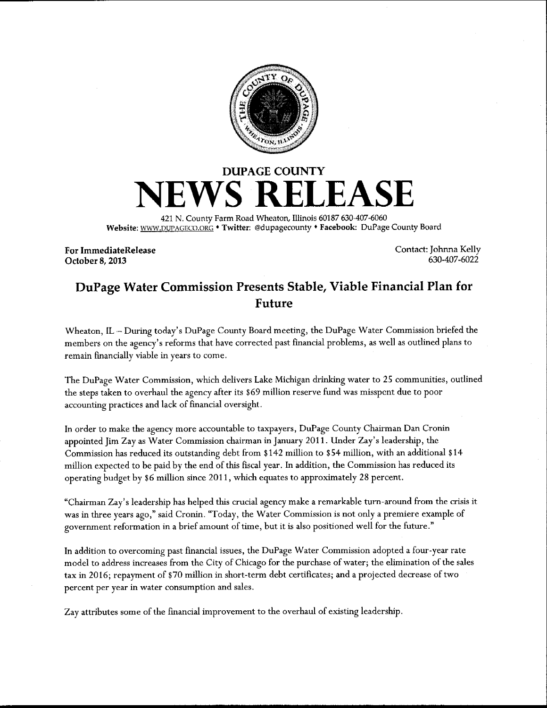

## NEWS RELEASE DUPAGE COUNTY

421 N. County Farm Road Wheaton, Illinois 60187 630-407-6060 Website: WWW.DUPAGECO.ORG . Twitter: @dupagecounty . Facebook: DuPage County Board

For ImmediateRelease October 8, 2013

Contact: Johnna Kelly 630-407-6022

## DuPage Water Commission Presents Stable, Viable Financial Plan for Future

Wheaton, IL - During today's DuPage County Board meeting, the DuPage Water Commission briefed the members on the agency's reforms that have corrected past financial problcms, as well as outlined plans to remain financially viable in years to come,

"fhe DuPage Water Commission, which delivers Lake Michigan drinking water to 25 communities, outlined the steps taken to overhaul the agency after its \$69 million reserve fund was misspcnt due to poor accounting practices and lack of financial oversight.

In order to make the agency more accountable to taxpayers, DuPage County Chairman Dan Cronin appointed JimZay as Water Commission chairman in January 201 I . Under Zay's leadership, thc Commission has reduced its outstanding debt from  $$142$  million to  $$54$  million, with an additional  $$14$ million expected to be paid by the end of this fiscal year. In addition, the Commission has reduced its operating budget by \$6 million since 201 l, which equates to approximately 28 percent.

"Chairman Zay's leadership has helped this crucial agency make a remarkable turn-around from the crisis it was in three years ago," said Cronin. "Today, the Water Commission is not only a premiere example of government reformation in a brief amount of time, but it is also positioned well for the future."

In addition to overcoming past financial issues, the DuPage Water Commission adopted a four-year rate model to address increases from the City of Chicago for the purchase of water; the elimination of the sales tax in 2015; repayment of \$70 million in short-term debt certificates; and a projected decrease of two percent per year in water consumption and sales.

Zay attributes some of the financial improvement to the overhaul of existing leadership.